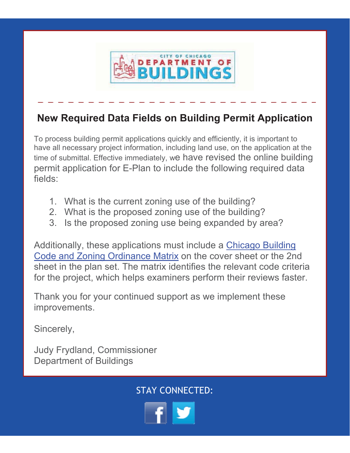

## **New Required Data Fields on Building Permit Application**

To process building permit applications quickly and efficiently, it is important to have all necessary project information, including land use, on the application at the time of submittal. Effective immediately, we have revised the online building permit application for E-Plan to include the following required data fields:

- 1. What is the current zoning use of the building?
- 2. What is the proposed zoning use of the building?
- 3. Is the proposed zoning use being expanded by area?

Additionally, these applications must include a Chicago Building Code and Zoning Ordinance Matrix on the cover sheet or the 2nd sheet in the plan set. The matrix identifies the relevant code criteria for the project, which helps examiners perform their reviews faster.

Thank you for your continued support as we implement these improvements.

Sincerely,

Judy Frydland, Commissioner Department of Buildings

STAY CONNECTED: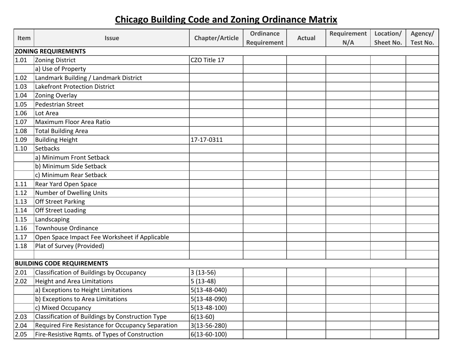## **Chicago Building Code and Zoning Ordinance Matrix**

| <b>Item</b> | <b>Issue</b>                                      | <b>Chapter/Article</b> | <b>Ordinance</b> | <b>Actual</b> | Requirement | Location/        | Agency/         |
|-------------|---------------------------------------------------|------------------------|------------------|---------------|-------------|------------------|-----------------|
|             |                                                   |                        | Requirement      |               | N/A         | <b>Sheet No.</b> | <b>Test No.</b> |
|             | <b>ZONING REQUIREMENTS</b>                        |                        |                  |               |             |                  |                 |
| 1.01        | Zoning District                                   | CZO Title 17           |                  |               |             |                  |                 |
|             | a) Use of Property                                |                        |                  |               |             |                  |                 |
| 1.02        | Landmark Building / Landmark District             |                        |                  |               |             |                  |                 |
| 1.03        | Lakefront Protection District                     |                        |                  |               |             |                  |                 |
| 1.04        | Zoning Overlay                                    |                        |                  |               |             |                  |                 |
| 1.05        | Pedestrian Street                                 |                        |                  |               |             |                  |                 |
| 1.06        | Lot Area                                          |                        |                  |               |             |                  |                 |
| 1.07        | Maximum Floor Area Ratio                          |                        |                  |               |             |                  |                 |
| 1.08        | <b>Total Building Area</b>                        |                        |                  |               |             |                  |                 |
| 1.09        | <b>Building Height</b>                            | 17-17-0311             |                  |               |             |                  |                 |
| 1.10        | Setbacks                                          |                        |                  |               |             |                  |                 |
|             | a) Minimum Front Setback                          |                        |                  |               |             |                  |                 |
|             | b) Minimum Side Setback                           |                        |                  |               |             |                  |                 |
|             | c) Minimum Rear Setback                           |                        |                  |               |             |                  |                 |
| 1.11        | Rear Yard Open Space                              |                        |                  |               |             |                  |                 |
| 1.12        | Number of Dwelling Units                          |                        |                  |               |             |                  |                 |
| 1.13        | Off Street Parking                                |                        |                  |               |             |                  |                 |
| 1.14        | Off Street Loading                                |                        |                  |               |             |                  |                 |
| 1.15        | Landscaping                                       |                        |                  |               |             |                  |                 |
| 1.16        | <b>Townhouse Ordinance</b>                        |                        |                  |               |             |                  |                 |
| 1.17        | Open Space Impact Fee Worksheet if Applicable     |                        |                  |               |             |                  |                 |
| 1.18        | Plat of Survey (Provided)                         |                        |                  |               |             |                  |                 |
|             |                                                   |                        |                  |               |             |                  |                 |
|             | <b>BUILDING CODE REQUIREMENTS</b>                 |                        |                  |               |             |                  |                 |
| 2.01        | Classification of Buildings by Occupancy          | $3(13-56)$             |                  |               |             |                  |                 |
| 2.02        | <b>Height and Area Limitations</b>                | $5(13-48)$             |                  |               |             |                  |                 |
|             | a) Exceptions to Height Limitations               | $5(13 - 48 - 040)$     |                  |               |             |                  |                 |
|             | b) Exceptions to Area Limitations                 | $5(13-48-090)$         |                  |               |             |                  |                 |
|             | c) Mixed Occupancy                                | $5(13-48-100)$         |                  |               |             |                  |                 |
| 2.03        | Classification of Buildings by Construction Type  | $6(13-60)$             |                  |               |             |                  |                 |
| 2.04        | Required Fire Resistance for Occupancy Separation | $3(13 - 56 - 280)$     |                  |               |             |                  |                 |
| 2.05        | Fire-Resistive Rqmts. of Types of Construction    | $6(13-60-100)$         |                  |               |             |                  |                 |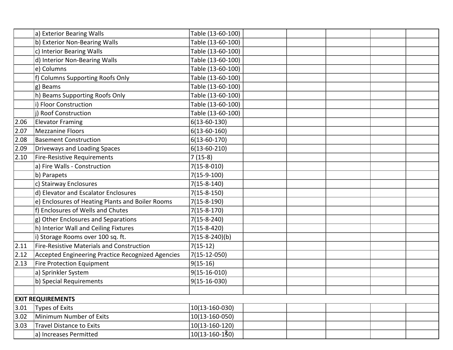|                | a) Exterior Bearing Walls                         | Table (13-60-100) |  |  |  |  |  |
|----------------|---------------------------------------------------|-------------------|--|--|--|--|--|
|                | b) Exterior Non-Bearing Walls                     | Table (13-60-100) |  |  |  |  |  |
|                | c) Interior Bearing Walls                         | Table (13-60-100) |  |  |  |  |  |
|                | d) Interior Non-Bearing Walls                     | Table (13-60-100) |  |  |  |  |  |
|                | e) Columns                                        | Table (13-60-100) |  |  |  |  |  |
|                | f) Columns Supporting Roofs Only                  | Table (13-60-100) |  |  |  |  |  |
|                | g) Beams                                          | Table (13-60-100) |  |  |  |  |  |
|                | h) Beams Supporting Roofs Only                    | Table (13-60-100) |  |  |  |  |  |
|                | i) Floor Construction                             | Table (13-60-100) |  |  |  |  |  |
|                | j) Roof Construction                              | Table (13-60-100) |  |  |  |  |  |
| 2.06           | <b>Elevator Framing</b>                           | $6(13-60-130)$    |  |  |  |  |  |
| 2.07           | <b>Mezzanine Floors</b>                           | $6(13-60-160)$    |  |  |  |  |  |
| 2.08           | <b>Basement Construction</b>                      | $6(13-60-170)$    |  |  |  |  |  |
| 2.09           | Driveways and Loading Spaces                      | $6(13-60-210)$    |  |  |  |  |  |
| 2.10           | Fire-Resistive Requirements                       | $7(15-8)$         |  |  |  |  |  |
|                | a) Fire Walls - Construction                      | $7(15 - 8 - 010)$ |  |  |  |  |  |
|                | b) Parapets                                       | $7(15-9-100)$     |  |  |  |  |  |
|                | c) Stairway Enclosures                            | $7(15 - 8 - 140)$ |  |  |  |  |  |
|                | d) Elevator and Escalator Enclosures              | $7(15-8-150)$     |  |  |  |  |  |
|                | e) Enclosures of Heating Plants and Boiler Rooms  | $7(15-8-190)$     |  |  |  |  |  |
|                | f) Enclosures of Wells and Chutes                 | $7(15 - 8 - 170)$ |  |  |  |  |  |
|                | g) Other Enclosures and Separations               | $7(15-8-240)$     |  |  |  |  |  |
|                | h) Interior Wall and Ceiling Fixtures             | $7(15-8-420)$     |  |  |  |  |  |
|                | i) Storage Rooms over 100 sq. ft.                 | $7(15-8-240)(b)$  |  |  |  |  |  |
| 2.11           | <b>Fire-Resistive Materials and Construction</b>  | $7(15-12)$        |  |  |  |  |  |
| 2.12           | Accepted Engineering Practice Recognized Agencies | $7(15-12-050)$    |  |  |  |  |  |
| $ 2.13\rangle$ | Fire Protection Equipment                         | $9(15-16)$        |  |  |  |  |  |
|                | a) Sprinkler System                               | $9(15-16-010)$    |  |  |  |  |  |
|                | b) Special Requirements                           | $9(15-16-030)$    |  |  |  |  |  |
|                |                                                   |                   |  |  |  |  |  |
|                | <b>EXIT REQUIREMENTS</b>                          |                   |  |  |  |  |  |
| 3.01           | <b>Types of Exits</b>                             | 10(13-160-030)    |  |  |  |  |  |
| 3.02           | Minimum Number of Exits                           | 10(13-160-050)    |  |  |  |  |  |
| 3.03           | <b>Travel Distance to Exits</b>                   | $10(13-160-120)$  |  |  |  |  |  |
|                | a) Increases Permitted                            | $10(13-160-130)$  |  |  |  |  |  |